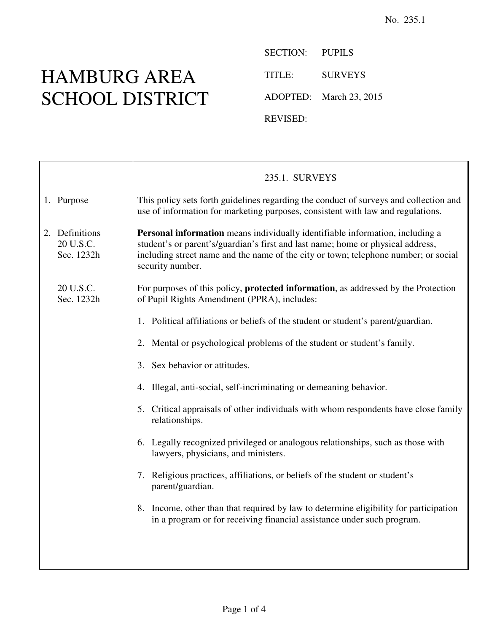## HAMBURG AREA SCHOOL DISTRICT

Τ

SECTION: PUPILS TITLE: SURVEYS ADOPTED: March 23, 2015 REVISED:

|                                           | 235.1. SURVEYS                                                                                                                                                                                                                                                              |
|-------------------------------------------|-----------------------------------------------------------------------------------------------------------------------------------------------------------------------------------------------------------------------------------------------------------------------------|
| 1. Purpose                                | This policy sets forth guidelines regarding the conduct of surveys and collection and<br>use of information for marketing purposes, consistent with law and regulations.                                                                                                    |
| 2. Definitions<br>20 U.S.C.<br>Sec. 1232h | Personal information means individually identifiable information, including a<br>student's or parent's/guardian's first and last name; home or physical address,<br>including street name and the name of the city or town; telephone number; or social<br>security number. |
| 20 U.S.C.<br>Sec. 1232h                   | For purposes of this policy, <b>protected information</b> , as addressed by the Protection<br>of Pupil Rights Amendment (PPRA), includes:                                                                                                                                   |
|                                           | 1. Political affiliations or beliefs of the student or student's parent/guardian.                                                                                                                                                                                           |
|                                           | 2. Mental or psychological problems of the student or student's family.                                                                                                                                                                                                     |
|                                           | Sex behavior or attitudes.<br>3.                                                                                                                                                                                                                                            |
|                                           | Illegal, anti-social, self-incriminating or demeaning behavior.<br>4.                                                                                                                                                                                                       |
|                                           | 5. Critical appraisals of other individuals with whom respondents have close family<br>relationships.                                                                                                                                                                       |
|                                           | 6. Legally recognized privileged or analogous relationships, such as those with<br>lawyers, physicians, and ministers.                                                                                                                                                      |
|                                           | 7. Religious practices, affiliations, or beliefs of the student or student's<br>parent/guardian.                                                                                                                                                                            |
|                                           | 8. Income, other than that required by law to determine eligibility for participation<br>in a program or for receiving financial assistance under such program.                                                                                                             |
|                                           |                                                                                                                                                                                                                                                                             |
|                                           |                                                                                                                                                                                                                                                                             |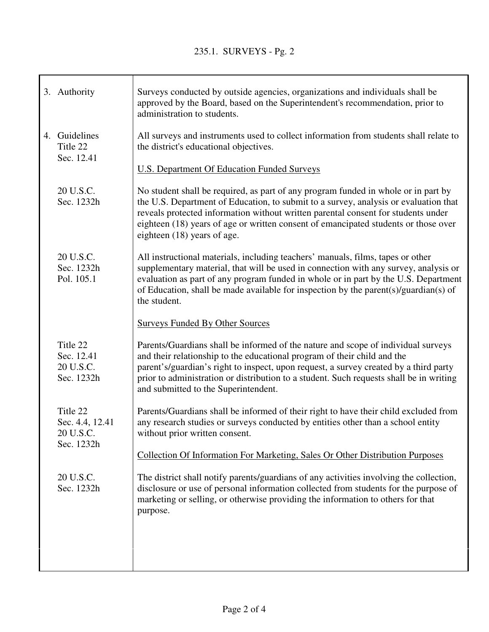| 3. Authority                                      | Surveys conducted by outside agencies, organizations and individuals shall be<br>approved by the Board, based on the Superintendent's recommendation, prior to<br>administration to students.                                                                                                                                                                                             |
|---------------------------------------------------|-------------------------------------------------------------------------------------------------------------------------------------------------------------------------------------------------------------------------------------------------------------------------------------------------------------------------------------------------------------------------------------------|
| 4. Guidelines<br>Title 22<br>Sec. 12.41           | All surveys and instruments used to collect information from students shall relate to<br>the district's educational objectives.                                                                                                                                                                                                                                                           |
|                                                   | <b>U.S. Department Of Education Funded Surveys</b>                                                                                                                                                                                                                                                                                                                                        |
| 20 U.S.C.<br>Sec. 1232h                           | No student shall be required, as part of any program funded in whole or in part by<br>the U.S. Department of Education, to submit to a survey, analysis or evaluation that<br>reveals protected information without written parental consent for students under<br>eighteen (18) years of age or written consent of emancipated students or those over<br>eighteen (18) years of age.     |
| 20 U.S.C.<br>Sec. 1232h<br>Pol. 105.1             | All instructional materials, including teachers' manuals, films, tapes or other<br>supplementary material, that will be used in connection with any survey, analysis or<br>evaluation as part of any program funded in whole or in part by the U.S. Department<br>of Education, shall be made available for inspection by the parent(s)/guardian(s) of<br>the student.                    |
|                                                   | <b>Surveys Funded By Other Sources</b>                                                                                                                                                                                                                                                                                                                                                    |
| Title 22<br>Sec. 12.41<br>20 U.S.C.<br>Sec. 1232h | Parents/Guardians shall be informed of the nature and scope of individual surveys<br>and their relationship to the educational program of their child and the<br>parent's/guardian's right to inspect, upon request, a survey created by a third party<br>prior to administration or distribution to a student. Such requests shall be in writing<br>and submitted to the Superintendent. |
| Title 22<br>Sec. 4.4, 12.41<br>20 U.S.C.          | Parents/Guardians shall be informed of their right to have their child excluded from<br>any research studies or surveys conducted by entities other than a school entity<br>without prior written consent.                                                                                                                                                                                |
| Sec. 1232h                                        | Collection Of Information For Marketing, Sales Or Other Distribution Purposes                                                                                                                                                                                                                                                                                                             |
| 20 U.S.C.<br>Sec. 1232h                           | The district shall notify parents/guardians of any activities involving the collection,<br>disclosure or use of personal information collected from students for the purpose of<br>marketing or selling, or otherwise providing the information to others for that<br>purpose.                                                                                                            |
|                                                   |                                                                                                                                                                                                                                                                                                                                                                                           |
|                                                   |                                                                                                                                                                                                                                                                                                                                                                                           |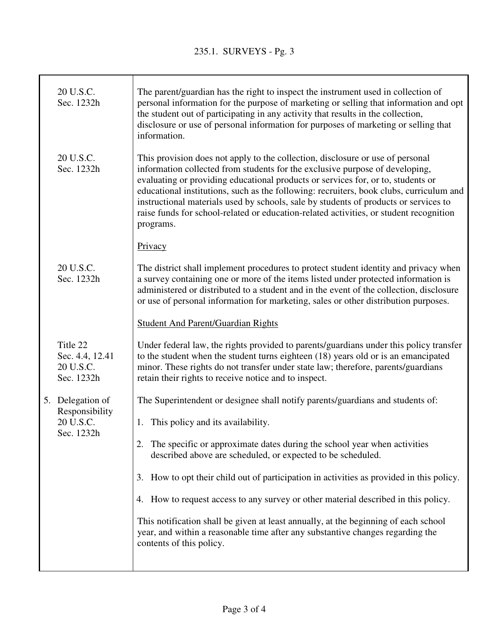Τ

| 20 U.S.C.<br>Sec. 1232h                                | The parent/guardian has the right to inspect the instrument used in collection of<br>personal information for the purpose of marketing or selling that information and opt<br>the student out of participating in any activity that results in the collection,<br>disclosure or use of personal information for purposes of marketing or selling that<br>information.                                                                                                                                                                        |
|--------------------------------------------------------|----------------------------------------------------------------------------------------------------------------------------------------------------------------------------------------------------------------------------------------------------------------------------------------------------------------------------------------------------------------------------------------------------------------------------------------------------------------------------------------------------------------------------------------------|
| 20 U.S.C.<br>Sec. 1232h                                | This provision does not apply to the collection, disclosure or use of personal<br>information collected from students for the exclusive purpose of developing,<br>evaluating or providing educational products or services for, or to, students or<br>educational institutions, such as the following: recruiters, book clubs, curriculum and<br>instructional materials used by schools, sale by students of products or services to<br>raise funds for school-related or education-related activities, or student recognition<br>programs. |
|                                                        | Privacy                                                                                                                                                                                                                                                                                                                                                                                                                                                                                                                                      |
| 20 U.S.C.<br>Sec. 1232h                                | The district shall implement procedures to protect student identity and privacy when<br>a survey containing one or more of the items listed under protected information is<br>administered or distributed to a student and in the event of the collection, disclosure<br>or use of personal information for marketing, sales or other distribution purposes.                                                                                                                                                                                 |
|                                                        | <b>Student And Parent/Guardian Rights</b>                                                                                                                                                                                                                                                                                                                                                                                                                                                                                                    |
| Title 22<br>Sec. 4.4, 12.41<br>20 U.S.C.<br>Sec. 1232h | Under federal law, the rights provided to parents/guardians under this policy transfer<br>to the student when the student turns eighteen (18) years old or is an emancipated<br>minor. These rights do not transfer under state law; therefore, parents/guardians<br>retain their rights to receive notice and to inspect.                                                                                                                                                                                                                   |
| 5. Delegation of                                       | The Superintendent or designee shall notify parents/guardians and students of:                                                                                                                                                                                                                                                                                                                                                                                                                                                               |
| Responsibility<br>20 U.S.C.<br>Sec. 1232h              | 1. This policy and its availability.                                                                                                                                                                                                                                                                                                                                                                                                                                                                                                         |
|                                                        | The specific or approximate dates during the school year when activities<br>described above are scheduled, or expected to be scheduled.                                                                                                                                                                                                                                                                                                                                                                                                      |
|                                                        | How to opt their child out of participation in activities as provided in this policy.<br>3.                                                                                                                                                                                                                                                                                                                                                                                                                                                  |
|                                                        | 4. How to request access to any survey or other material described in this policy.                                                                                                                                                                                                                                                                                                                                                                                                                                                           |
|                                                        | This notification shall be given at least annually, at the beginning of each school<br>year, and within a reasonable time after any substantive changes regarding the<br>contents of this policy.                                                                                                                                                                                                                                                                                                                                            |
|                                                        |                                                                                                                                                                                                                                                                                                                                                                                                                                                                                                                                              |